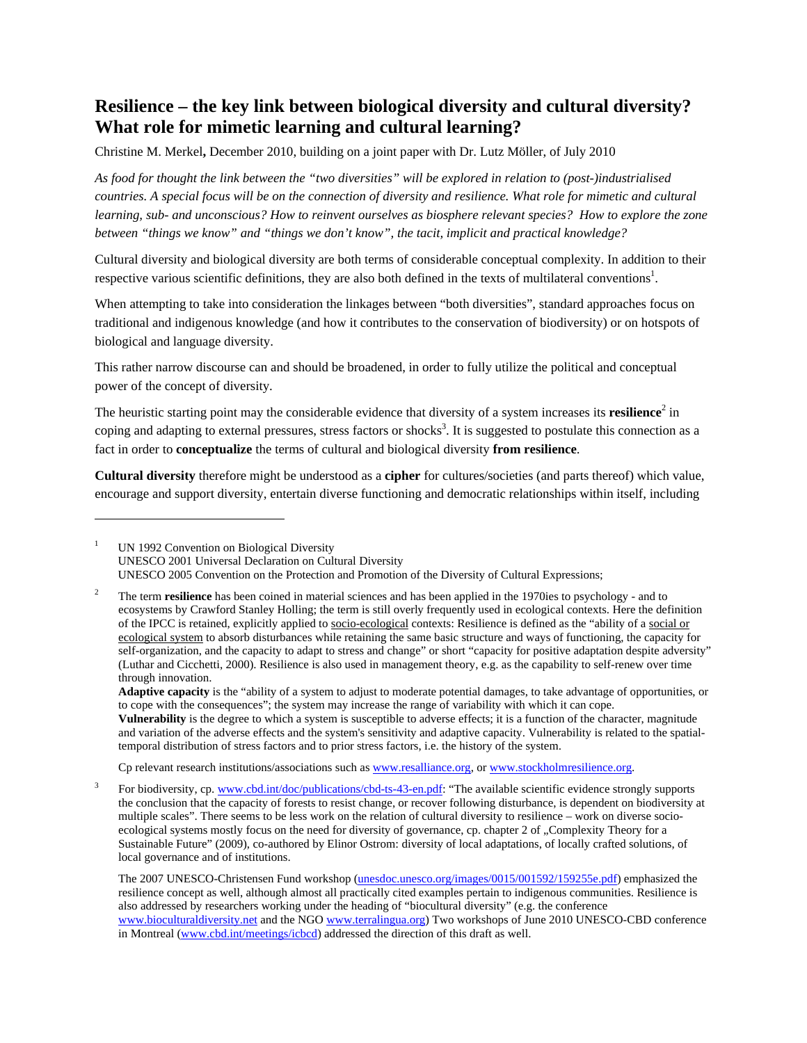## **Resilience – the key link between biological diversity and cultural diversity? What role for mimetic learning and cultural learning?**

Christine M. Merkel**,** December 2010, building on a joint paper with Dr. Lutz Möller, of July 2010

*As food for thought the link between the "two diversities" will be explored in relation to (post-)industrialised countries. A special focus will be on the connection of diversity and resilience. What role for mimetic and cultural learning, sub- and unconscious? How to reinvent ourselves as biosphere relevant species? How to explore the zone between "things we know" and "things we don't know", the tacit, implicit and practical knowledge?* 

Cultural diversity and biological diversity are both terms of considerable conceptual complexity. In addition to their respective various scientific definitions, they are also both defined in the texts of multilateral conventions<sup>1</sup>.

When attempting to take into consideration the linkages between "both diversities", standard approaches focus on traditional and indigenous knowledge (and how it contributes to the conservation of biodiversity) or on hotspots of biological and language diversity.

This rather narrow discourse can and should be broadened, in order to fully utilize the political and conceptual power of the concept of diversity.

The heuristic starting point may the considerable evidence that diversity of a system increases its **resilience**<sup>2</sup> in coping and adapting to external pressures, stress factors or shocks<sup>3</sup>. It is suggested to postulate this connection as a fact in order to **conceptualize** the terms of cultural and biological diversity **from resilience**.

**Cultural diversity** therefore might be understood as a **cipher** for cultures/societies (and parts thereof) which value, encourage and support diversity, entertain diverse functioning and democratic relationships within itself, including

1

Cp relevant research institutions/associations such as www.resalliance.org, or www.stockholmresilience.org.

3 For biodiversity, cp. www.cbd.int/doc/publications/cbd-ts-43-en.pdf: "The available scientific evidence strongly supports the conclusion that the capacity of forests to resist change, or recover following disturbance, is dependent on biodiversity at multiple scales". There seems to be less work on the relation of cultural diversity to resilience – work on diverse socioecological systems mostly focus on the need for diversity of governance, cp. chapter 2 of "Complexity Theory for a Sustainable Future" (2009), co-authored by Elinor Ostrom: diversity of local adaptations, of locally crafted solutions, of local governance and of institutions.

<sup>1</sup> UN 1992 Convention on Biological Diversity UNESCO 2001 Universal Declaration on Cultural Diversity UNESCO 2005 Convention on the Protection and Promotion of the Diversity of Cultural Expressions;

<sup>2</sup> The term **resilience** has been coined in material sciences and has been applied in the 1970ies to psychology - and to ecosystems by Crawford Stanley Holling; the term is still overly frequently used in ecological contexts. Here the definition of the IPCC is retained, explicitly applied to socio-ecological contexts: Resilience is defined as the "ability of a social or ecological system to absorb disturbances while retaining the same basic structure and ways of functioning, the capacity for self-organization, and the capacity to adapt to stress and change" or short "capacity for positive adaptation despite adversity" (Luthar and Cicchetti, 2000). Resilience is also used in management theory, e.g. as the capability to self-renew over time through innovation.

**Adaptive capacity** is the "ability of a system to adjust to moderate potential damages, to take advantage of opportunities, or to cope with the consequences"; the system may increase the range of variability with which it can cope.

**Vulnerability** is the degree to which a system is susceptible to adverse effects; it is a function of the character, magnitude and variation of the adverse effects and the system's sensitivity and adaptive capacity. Vulnerability is related to the spatialtemporal distribution of stress factors and to prior stress factors, i.e. the history of the system.

The 2007 UNESCO-Christensen Fund workshop (unesdoc.unesco.org/images/0015/001592/159255e.pdf) emphasized the resilience concept as well, although almost all practically cited examples pertain to indigenous communities. Resilience is also addressed by researchers working under the heading of "biocultural diversity" (e.g. the conference www.bioculturaldiversity.net and the NGO www.terralingua.org) Two workshops of June 2010 UNESCO-CBD conference in Montreal (www.cbd.int/meetings/icbcd) addressed the direction of this draft as well.